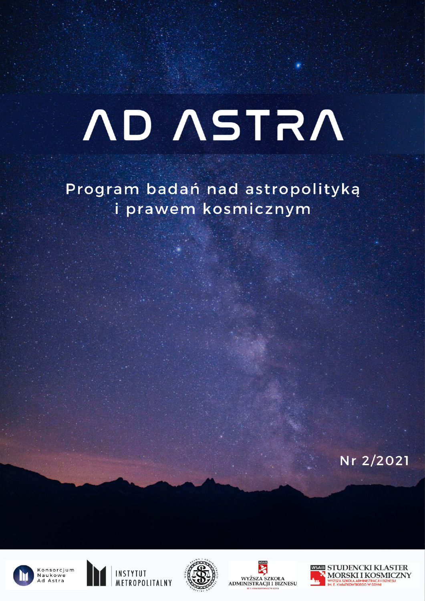# **ND ASTRA**

Program badań nad astropolityką i prawem kosmicznym

Nr 2/2021











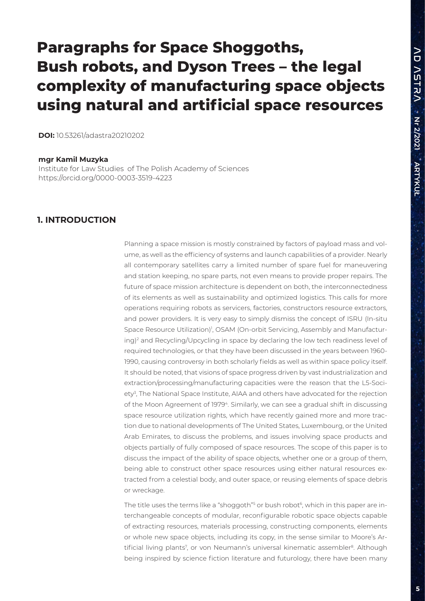# **Paragraphs for Space Shoggoths, Bush robots, and Dyson Trees – the legal complexity of manufacturing space objects using natural and artificial space resources**

**DOI:** 10.53261/adastra20210202

#### **mgr Kamil Muzyka**

Institute for Law Studies of The Polish Academy of Sciences https://orcid.org/0000-0003-3519-4223

#### **1. INTRODUCTION**

Planning a space mission is mostly constrained by factors of payload mass and volume, as well as the efficiency of systems and launch capabilities of a provider. Nearly all contemporary satellites carry a limited number of spare fuel for maneuvering and station keeping, no spare parts, not even means to provide proper repairs. The future of space mission architecture is dependent on both, the interconnectedness of its elements as well as sustainability and optimized logistics. This calls for more operations requiring robots as servicers, factories, constructors resource extractors, and power providers. It is very easy to simply dismiss the concept of ISRU (In-situ Space Resource Utilization)<sup>1</sup>, OSAM (On-orbit Servicing, Assembly and Manufacturing)2 and Recycling/Upcycling in space by declaring the low tech readiness level of required technologies, or that they have been discussed in the years between 1960- 1990, causing controversy in both scholarly fields as well as within space policy itself. It should be noted, that visions of space progress driven by vast industrialization and extraction/processing/manufacturing capacities were the reason that the L5-Society<sup>3</sup>, The National Space Institute, AIAA and others have advocated for the rejection of the Moon Agreement of 19794. Similarly, we can see a gradual shift in discussing space resource utilization rights, which have recently gained more and more traction due to national developments of The United States, Luxembourg, or the United Arab Emirates, to discuss the problems, and issues involving space products and objects partially of fully composed of space resources. The scope of this paper is to discuss the impact of the ability of space objects, whether one or a group of them, being able to construct other space resources using either natural resources extracted from a celestial body, and outer space, or reusing elements of space debris or wreckage.

The title uses the terms like a "shoggoth"<sup>s</sup> or bush robot<sup>6</sup>, which in this paper are interchangeable concepts of modular, reconfigurable robotic space objects capable of extracting resources, materials processing, constructing components, elements or whole new space objects, including its copy, in the sense similar to Moore's Artificial living plants<sup>7</sup>, or von Neumann's universal kinematic assembler<sup>8</sup>. Although being inspired by science fiction literature and futurology, there have been many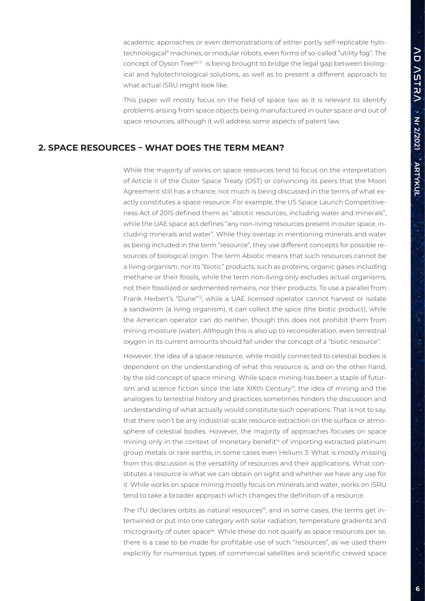academic approaches or even demonstrations of either partly self-replicable hylotechnological<sup>9</sup> machines, or modular robots, even forms of so-called "utility fog". The concept of Dyson Tree<sup>10, 11</sup> is being brought to bridge the legal gap between biological and hylotechnological solutions, as well as to present a different approach to what actual ISRU might look like.

This paper will mostly focus on the field of space law as it is relevant to identify problems arising from space objects being manufactured in outer space and out of space resources, although it will address some aspects of patent law.

#### **2. SPACE RESOURCES – WHAT DOES THE TERM MEAN?**

While the majority of works on space resources tend to focus on the interpretation of Article II of the Outer Space Treaty (OST) or convincing its peers that the Moon Agreement still has a chance, not much is being discussed in the terms of what exactly constitutes a space resource. For example, the US Space Launch Competitiveness Act of 2015 defined them as "abiotic resources, including water and minerals", while the UAE space act defines "any non-living resources present in outer space, including minerals and water". While they overlap in mentioning minerals and water as being included in the term "resource", they use different concepts for possible resources of biological origin. The term Abiotic means that such resources cannot be a living organism, nor its "biotic" products, such as proteins, organic gases including methane or their fossils, while the term non-living only excludes actual organisms, not their fossilized or sedimented remains, nor their products. To use a parallel from Frank Herbert's "Dune"12, while a UAE licensed operator cannot harvest or isolate a sandworm (a living organism), it can collect the spice (the biotic product), while the American operator can do neither, though this does not prohibit them from mining moisture (water). Although this is also up to reconsideration, even terrestrial oxygen in its current amounts should fall under the concept of a "biotic resource".

However, the idea of a space resource, while mostly connected to celestial bodies is dependent on the understanding of what this resource is, and on the other hand, by the old concept of space mining. While space mining has been a staple of futurism and science fiction since the late  $XIX$ th Century<sup>13</sup>, the idea of mining and the analogies to terrestrial history and practices sometimes hinders the discussion and understanding of what actually would constitute such operations. That is not to say, that there won't be any industrial-scale resource extraction on the surface or atmosphere of celestial bodies. However, the majority of approaches focuses on space mining only in the context of monetary benefit<sup>14</sup> of importing extracted platinum group metals or rare earths, in some cases even Helium 3. What is mostly missing from this discussion is the versatility of resources and their applications. What constitutes a resource is what we can obtain on sight and whether we have any use for it. While works on space mining mostly focus on minerals and water, works on ISRU tend to take a broader approach which changes the definition of a resource.

The ITU declares orbits as natural resources<sup>15</sup>, and in some cases, the terms get intertwined or put into one category with solar radiation, temperature gradients and microgravity of outer space<sup>16</sup>. While these do not qualify as space resources per se, there is a case to be made for profitable use of such "resources", as we used them explicitly for numerous types of commercial satellites and scientific crewed space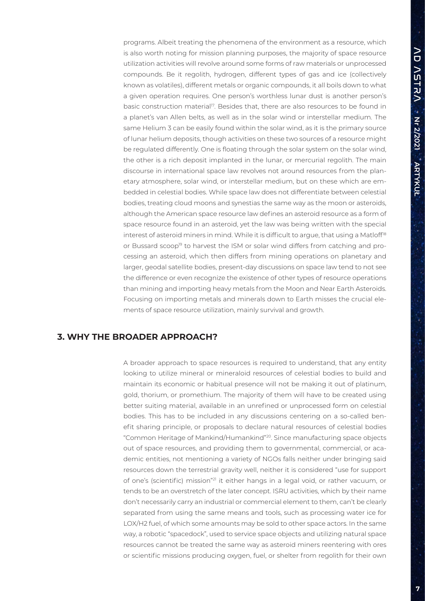programs. Albeit treating the phenomena of the environment as a resource, which is also worth noting for mission planning purposes, the majority of space resource utilization activities will revolve around some forms of raw materials or unprocessed compounds. Be it regolith, hydrogen, different types of gas and ice (collectively known as volatiles), different metals or organic compounds, it all boils down to what a given operation requires. One person's worthless lunar dust is another person's basic construction material<sup>17</sup>. Besides that, there are also resources to be found in a planet's van Allen belts, as well as in the solar wind or interstellar medium. The same Helium 3 can be easily found within the solar wind, as it is the primary source of lunar helium deposits, though activities on these two sources of a resource might be regulated differently. One is floating through the solar system on the solar wind, the other is a rich deposit implanted in the lunar, or mercurial regolith. The main discourse in international space law revolves not around resources from the planetary atmosphere, solar wind, or interstellar medium, but on these which are embedded in celestial bodies. While space law does not differentiate between celestial bodies, treating cloud moons and synestias the same way as the moon or asteroids, although the American space resource law defines an asteroid resource as a form of space resource found in an asteroid, yet the law was being written with the special interest of asteroid miners in mind. While it is difficult to argue, that using a Matloff<sup>18</sup> or Bussard scoop<sup>19</sup> to harvest the ISM or solar wind differs from catching and processing an asteroid, which then differs from mining operations on planetary and larger, geodal satellite bodies, present-day discussions on space law tend to not see the difference or even recognize the existence of other types of resource operations than mining and importing heavy metals from the Moon and Near Earth Asteroids. Focusing on importing metals and minerals down to Earth misses the crucial elements of space resource utilization, mainly survival and growth.

## **3. WHY THE BROADER APPROACH?**

A broader approach to space resources is required to understand, that any entity looking to utilize mineral or mineraloid resources of celestial bodies to build and maintain its economic or habitual presence will not be making it out of platinum, gold, thorium, or promethium. The majority of them will have to be created using better suiting material, available in an unrefined or unprocessed form on celestial bodies. This has to be included in any discussions centering on a so-called benefit sharing principle, or proposals to declare natural resources of celestial bodies "Common Heritage of Mankind/Humankind"20. Since manufacturing space objects out of space resources, and providing them to governmental, commercial, or academic entities, not mentioning a variety of NGOs falls neither under bringing said resources down the terrestrial gravity well, neither it is considered "use for support of one's (scientific) mission"<sup>21</sup> it either hangs in a legal void, or rather vacuum, or tends to be an overstretch of the later concept. ISRU activities, which by their name don't necessarily carry an industrial or commercial element to them, can't be clearly separated from using the same means and tools, such as processing water ice for LOX/H2 fuel, of which some amounts may be sold to other space actors. In the same way, a robotic "spacedock", used to service space objects and utilizing natural space resources cannot be treated the same way as asteroid miners reentering with ores or scientific missions producing oxygen, fuel, or shelter from regolith for their own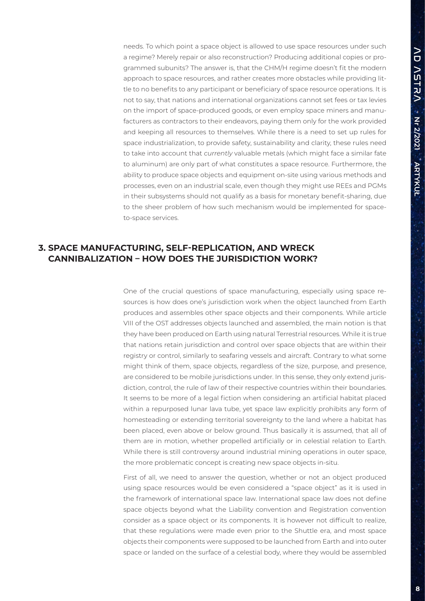needs. To which point a space object is allowed to use space resources under such a regime? Merely repair or also reconstruction? Producing additional copies or programmed subunits? The answer is, that the CHM/H regime doesn't fit the modern approach to space resources, and rather creates more obstacles while providing little to no benefits to any participant or beneficiary of space resource operations. It is not to say, that nations and international organizations cannot set fees or tax levies on the import of space-produced goods, or even employ space miners and manufacturers as contractors to their endeavors, paying them only for the work provided and keeping all resources to themselves. While there is a need to set up rules for space industrialization, to provide safety, sustainability and clarity, these rules need to take into account that *currently* valuable metals (which might face a similar fate to aluminum) are only part of what constitutes a space resource. Furthermore, the ability to produce space objects and equipment on-site using various methods and processes, even on an industrial scale, even though they might use REEs and PGMs in their subsystems should not qualify as a basis for monetary benefit-sharing, due to the sheer problem of how such mechanism would be implemented for spaceto-space services.

## **3. SPACE MANUFACTURING, SELF-REPLICATION, AND WRECK CANNIBALIZATION – HOW DOES THE JURISDICTION WORK?**

One of the crucial questions of space manufacturing, especially using space resources is how does one's jurisdiction work when the object launched from Earth produces and assembles other space objects and their components. While article VIII of the OST addresses objects launched and assembled, the main notion is that they have been produced on Earth using natural Terrestrial resources. While it is true that nations retain jurisdiction and control over space objects that are within their registry or control, similarly to seafaring vessels and aircraft. Contrary to what some might think of them, space objects, regardless of the size, purpose, and presence, are considered to be mobile jurisdictions under. In this sense, they only extend jurisdiction, control, the rule of law of their respective countries within their boundaries. It seems to be more of a legal fiction when considering an artificial habitat placed within a repurposed lunar lava tube, yet space law explicitly prohibits any form of homesteading or extending territorial sovereignty to the land where a habitat has been placed, even above or below ground. Thus basically it is assumed, that all of them are in motion, whether propelled artificially or in celestial relation to Earth. While there is still controversy around industrial mining operations in outer space, the more problematic concept is creating new space objects in-situ.

First of all, we need to answer the question, whether or not an object produced using space resources would be even considered a "space object" as it is used in the framework of international space law. International space law does not define space objects beyond what the Liability convention and Registration convention consider as a space object or its components. It is however not difficult to realize, that these regulations were made even prior to the Shuttle era, and most space objects their components were supposed to be launched from Earth and into outer space or landed on the surface of a celestial body, where they would be assembled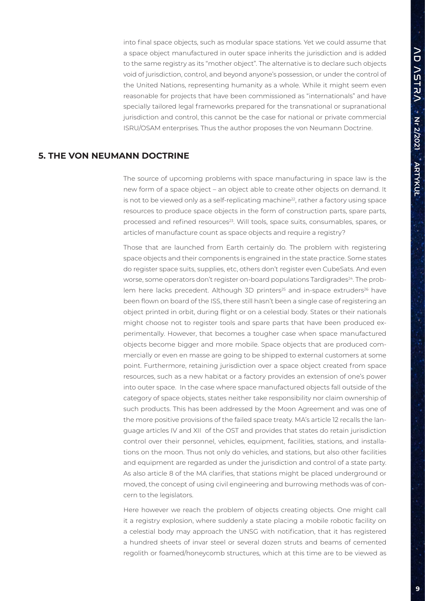into final space objects, such as modular space stations. Yet we could assume that a space object manufactured in outer space inherits the jurisdiction and is added to the same registry as its "mother object". The alternative is to declare such objects void of jurisdiction, control, and beyond anyone's possession, or under the control of the United Nations, representing humanity as a whole. While it might seem even reasonable for projects that have been commissioned as "internationals" and have specially tailored legal frameworks prepared for the transnational or supranational jurisdiction and control, this cannot be the case for national or private commercial ISRU/OSAM enterprises. Thus the author proposes the von Neumann Doctrine.

#### **5. THE VON NEUMANN DOCTRINE**

The source of upcoming problems with space manufacturing in space law is the new form of a space object – an object able to create other objects on demand. It is not to be viewed only as a self-replicating machine $2^2$ , rather a factory using space resources to produce space objects in the form of construction parts, spare parts, processed and refined resources<sup>23</sup>. Will tools, space suits, consumables, spares, or articles of manufacture count as space objects and require a registry?

Those that are launched from Earth certainly do. The problem with registering space objects and their components is engrained in the state practice. Some states do register space suits, supplies, etc, others don't register even CubeSats. And even worse, some operators don't register on-board populations Tardigrades<sup>24</sup>. The problem here lacks precedent. Although 3D printers<sup>25</sup> and in-space extruders<sup>26</sup> have been flown on board of the ISS, there still hasn't been a single case of registering an object printed in orbit, during flight or on a celestial body. States or their nationals might choose not to register tools and spare parts that have been produced experimentally. However, that becomes a tougher case when space manufactured objects become bigger and more mobile. Space objects that are produced commercially or even en masse are going to be shipped to external customers at some point. Furthermore, retaining jurisdiction over a space object created from space resources, such as a new habitat or a factory provides an extension of one's power into outer space. In the case where space manufactured objects fall outside of the category of space objects, states neither take responsibility nor claim ownership of such products. This has been addressed by the Moon Agreement and was one of the more positive provisions of the failed space treaty. MA's article 12 recalls the language articles IV and XII of the OST and provides that states do retain jurisdiction control over their personnel, vehicles, equipment, facilities, stations, and installations on the moon. Thus not only do vehicles, and stations, but also other facilities and equipment are regarded as under the jurisdiction and control of a state party. As also article 8 of the MA clarifies, that stations might be placed underground or moved, the concept of using civil engineering and burrowing methods was of concern to the legislators.

Here however we reach the problem of objects creating objects. One might call it a registry explosion, where suddenly a state placing a mobile robotic facility on a celestial body may approach the UNSG with notification, that it has registered a hundred sheets of invar steel or several dozen struts and beams of cemented regolith or foamed/honeycomb structures, which at this time are to be viewed as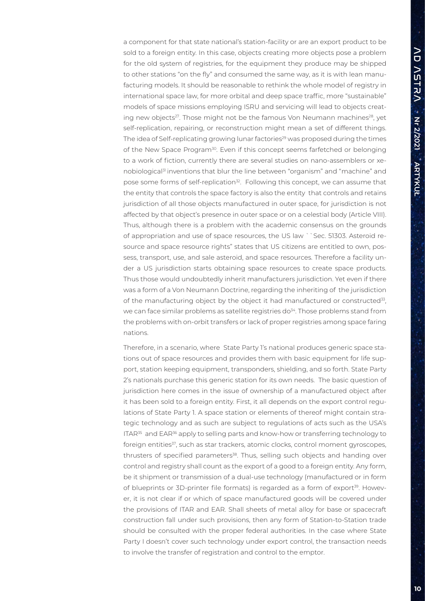a component for that state national's station-facility or are an export product to be sold to a foreign entity. In this case, objects creating more objects pose a problem for the old system of registries, for the equipment they produce may be shipped to other stations "on the fly" and consumed the same way, as it is with lean manufacturing models. It should be reasonable to rethink the whole model of registry in international space law, for more orbital and deep space traffic, more "sustainable" models of space missions employing ISRU and servicing will lead to objects creating new objects<sup>27</sup>. Those might not be the famous Von Neumann machines<sup>28</sup>, yet self-replication, repairing, or reconstruction might mean a set of different things. The idea of Self-replicating growing lunar factories<sup>29</sup> was proposed during the times of the New Space Program<sup>30</sup>. Even if this concept seems farfetched or belonging to a work of fiction, currently there are several studies on nano-assemblers or xenobiological31 inventions that blur the line between "organism" and "machine" and pose some forms of self-replication<sup>32</sup>. Following this concept, we can assume that the entity that controls the space factory is also the entity that controls and retains jurisdiction of all those objects manufactured in outer space, for jurisdiction is not affected by that object's presence in outer space or on a celestial body (Article VIII). Thus, although there is a problem with the academic consensus on the grounds of appropriation and use of space resources, the US law ``Sec. 51303. Asteroid resource and space resource rights" states that US citizens are entitled to own, possess, transport, use, and sale asteroid, and space resources. Therefore a facility under a US jurisdiction starts obtaining space resources to create space products. Thus those would undoubtedly inherit manufacturers jurisdiction. Yet even if there was a form of a Von Neumann Doctrine, regarding the inheriting of the jurisdiction of the manufacturing object by the object it had manufactured or constructed<sup>33</sup>, we can face similar problems as satellite registries do<sup>34</sup>. Those problems stand from the problems with on-orbit transfers or lack of proper registries among space faring nations.

Therefore, in a scenario, where State Party 1's national produces generic space stations out of space resources and provides them with basic equipment for life support, station keeping equipment, transponders, shielding, and so forth. State Party 2's nationals purchase this generic station for its own needs. The basic question of jurisdiction here comes in the issue of ownership of a manufactured object after it has been sold to a foreign entity. First, it all depends on the export control regulations of State Party 1. A space station or elements of thereof might contain strategic technology and as such are subject to regulations of acts such as the USA's ITAR<sup>35</sup> and EAR<sup>36</sup> apply to selling parts and know-how or transferring technology to foreign entities<sup>37</sup>, such as star trackers, atomic clocks, control moment gyroscopes, thrusters of specified parameters<sup>38</sup>. Thus, selling such objects and handing over control and registry shall count as the export of a good to a foreign entity. Any form, be it shipment or transmission of a dual-use technology (manufactured or in form of blueprints or 3D-printer file formats) is regarded as a form of export<sup>39</sup>. However, it is not clear if or which of space manufactured goods will be covered under the provisions of ITAR and EAR. Shall sheets of metal alloy for base or spacecraft construction fall under such provisions, then any form of Station-to-Station trade should be consulted with the proper federal authorities. In the case where State Party I doesn't cover such technology under export control, the transaction needs to involve the transfer of registration and control to the emptor.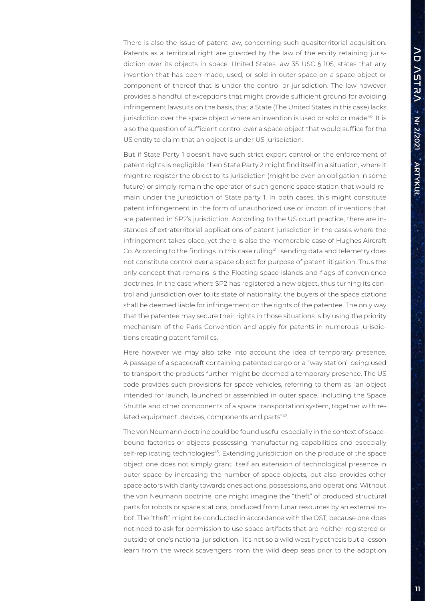There is also the issue of patent law, concerning such quasiterritorial acquisition. Patents as a territorial right are guarded by the law of the entity retaining jurisdiction over its objects in space. United States law 35 USC § 105, states that any invention that has been made, used, or sold in outer space on a space object or component of thereof that is under the control or jurisdiction. The law however provides a handful of exceptions that might provide sufficient ground for avoiding infringement lawsuits on the basis, that a State (The United States in this case) lacks jurisdiction over the space object where an invention is used or sold or made<sup>40</sup>. It is also the question of sufficient control over a space object that would suffice for the US entity to claim that an object is under US jurisdiction.

But if State Party 1 doesn't have such strict export control or the enforcement of patent rights is negligible, then State Party 2 might find itself in a situation, where it might re-register the object to its jurisdiction (might be even an obligation in some future) or simply remain the operator of such generic space station that would remain under the jurisdiction of State party 1. In both cases, this might constitute patent infringement in the form of unauthorized use or import of inventions that are patented in SP2's jurisdiction. According to the US court practice, there are instances of extraterritorial applications of patent jurisdiction in the cases where the infringement takes place, yet there is also the memorable case of Hughes Aircraft Co. According to the findings in this case ruling<sup>41</sup>, sending data and telemetry does not constitute control over a space object for purpose of patent litigation. Thus the only concept that remains is the Floating space islands and flags of convenience doctrines. In the case where SP2 has registered a new object, thus turning its control and jurisdiction over to its state of nationality, the buyers of the space stations shall be deemed liable for infringement on the rights of the patentee. The only way that the patentee may secure their rights in those situations is by using the priority mechanism of the Paris Convention and apply for patents in numerous jurisdictions creating patent families.

Here however we may also take into account the idea of temporary presence. A passage of a spacecraft containing patented cargo or a "way station" being used to transport the products further might be deemed a temporary presence. The US code provides such provisions for space vehicles, referring to them as "an object intended for launch, launched or assembled in outer space, including the Space Shuttle and other components of a space transportation system, together with related equipment, devices, components and parts"<sup>42</sup>.

The von Neumann doctrine could be found useful especially in the context of spacebound factories or objects possessing manufacturing capabilities and especially self-replicating technologies<sup>43</sup>. Extending jurisdiction on the produce of the space object one does not simply grant itself an extension of technological presence in outer space by increasing the number of space objects, but also provides other space actors with clarity towards ones actions, possessions, and operations. Without the von Neumann doctrine, one might imagine the "theft" of produced structural parts for robots or space stations, produced from lunar resources by an external robot. The "theft" might be conducted in accordance with the OST, because one does not need to ask for permission to use space artifacts that are neither registered or outside of one's national jurisdiction. It's not so a wild west hypothesis but a lesson learn from the wreck scavengers from the wild deep seas prior to the adoption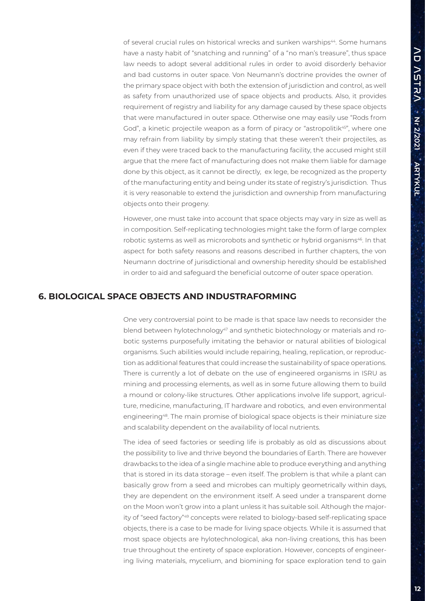of several crucial rules on historical wrecks and sunken warships<sup>44</sup>. Some humans have a nasty habit of "snatching and running" of a "no man's treasure", thus space law needs to adopt several additional rules in order to avoid disorderly behavior and bad customs in outer space. Von Neumann's doctrine provides the owner of the primary space object with both the extension of jurisdiction and control, as well as safety from unauthorized use of space objects and products. Also, it provides requirement of registry and liability for any damage caused by these space objects that were manufactured in outer space. Otherwise one may easily use "Rods from God", a kinetic projectile weapon as a form of piracy or "astropolitik<sup>45"</sup>, where one may refrain from liability by simply stating that these weren't their projectiles, as even if they were traced back to the manufacturing facility, the accused might still argue that the mere fact of manufacturing does not make them liable for damage done by this object, as it cannot be directly, ex lege, be recognized as the property of the manufacturing entity and being under its state of registry's jurisdiction. Thus it is very reasonable to extend the jurisdiction and ownership from manufacturing objects onto their progeny.

However, one must take into account that space objects may vary in size as well as in composition. Self-replicating technologies might take the form of large complex robotic systems as well as microrobots and synthetic or hybrid organisms<sup>46</sup>. In that aspect for both safety reasons and reasons described in further chapters, the von Neumann doctrine of jurisdictional and ownership heredity should be established in order to aid and safeguard the beneficial outcome of outer space operation.

#### **6. BIOLOGICAL SPACE OBJECTS AND INDUSTRAFORMING**

One very controversial point to be made is that space law needs to reconsider the blend between hylotechnology<sup>47</sup> and synthetic biotechnology or materials and robotic systems purposefully imitating the behavior or natural abilities of biological organisms. Such abilities would include repairing, healing, replication, or reproduction as additional features that could increase the sustainability of space operations. There is currently a lot of debate on the use of engineered organisms in ISRU as mining and processing elements, as well as in some future allowing them to build a mound or colony-like structures. Other applications involve life support, agriculture, medicine, manufacturing, IT hardware and robotics, and even environmental engineering48. The main promise of biological space objects is their miniature size and scalability dependent on the availability of local nutrients.

The idea of seed factories or seeding life is probably as old as discussions about the possibility to live and thrive beyond the boundaries of Earth. There are however drawbacks to the idea of a single machine able to produce everything and anything that is stored in its data storage – even itself. The problem is that while a plant can basically grow from a seed and microbes can multiply geometrically within days, they are dependent on the environment itself. A seed under a transparent dome on the Moon won't grow into a plant unless it has suitable soil. Although the majority of "seed factory"49 concepts were related to biology-based self-replicating space objects, there is a case to be made for living space objects. While it is assumed that most space objects are hylotechnological, aka non-living creations, this has been true throughout the entirety of space exploration. However, concepts of engineering living materials, mycelium, and biomining for space exploration tend to gain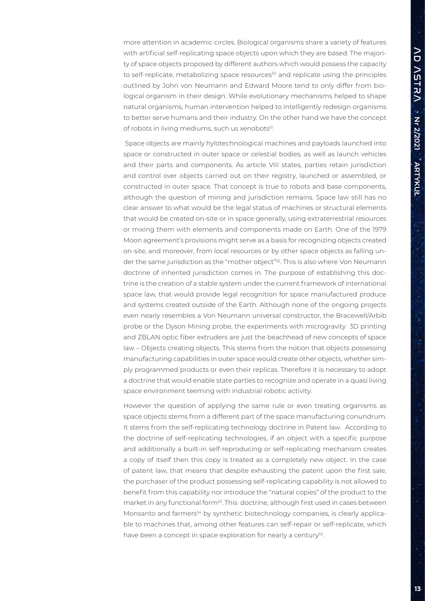more attention in academic circles. Biological organisms share a variety of features with artificial self-replicating space objects upon which they are based. The majority of space objects proposed by different authors which would possess the capacity to self-replicate, metabolizing space resources<sup>50</sup> and replicate using the principles outlined by John von Neumann and Edward Moore tend to only differ from biological organism in their design. While evolutionary mechanisms helped to shape natural organisms, human intervention helped to intelligently redesign organisms to better serve humans and their industry. On the other hand we have the concept of robots in living mediums, such us xenobots<sup>51</sup>.

 Space objects are mainly hylotechnological machines and payloads launched into space or constructed in outer space or celestial bodies, as well as launch vehicles and their parts and components. As article VIII states, parties retain jurisdiction and control over objects carried out on their registry, launched or assembled, or constructed in outer space. That concept is true to robots and base components, although the question of mining and jurisdiction remains. Space law still has no clear answer to what would be the legal status of machines or structural elements that would be created on-site or in space generally, using extraterrestrial resources or mixing them with elements and components made on Earth. One of the 1979 Moon agreement's provisions might serve as a basis for recognizing objects created on-site, and moreover, from local resources or by other space objects as falling under the same jurisdiction as the "mother object"<sup>52</sup>. This is also where Von Neumann doctrine of inherited jurisdiction comes in. The purpose of establishing this doctrine is the creation of a stable system under the current framework of international space law, that would provide legal recognition for space manufactured produce and systems created outside of the Earth. Although none of the ongoing projects even nearly resembles a Von Neumann universal constructor, the Bracewell/Arbib probe or the Dyson Mining probe, the experiments with microgravity 3D printing and ZBLAN optic fiber extruders are just the beachhead of new concepts of space law – Objects creating objects. This stems from the notion that objects possessing manufacturing capabilities in outer space would create other objects, whether simply programmed products or even their replicas. Therefore it is necessary to adopt a doctrine that would enable state parties to recognize and operate in a quasi living space environment teeming with industrial robotic activity.

However the question of applying the same rule or even treating organisms as space objects stems from a different part of the space manufacturing conundrum. It stems from the self-replicating technology doctrine in Patent law. According to the doctrine of self-replicating technologies, if an object with a specific purpose and additionally a built-in self-reproducing or self-replicating mechanism creates a copy of itself then this copy is treated as a completely new object. In the case of patent law, that means that despite exhausting the patent upon the first sale, the purchaser of the product possessing self-replicating capability is not allowed to benefit from this capability nor introduce the "natural copies" of the product to the market in any functional form<sup>53</sup>. This doctrine, although first used in cases between Monsanto and farmers<sup>54</sup> by synthetic biotechnology companies, is clearly applicable to machines that, among other features can self-repair or self-replicate, which have been a concept in space exploration for nearly a century<sup>55</sup>.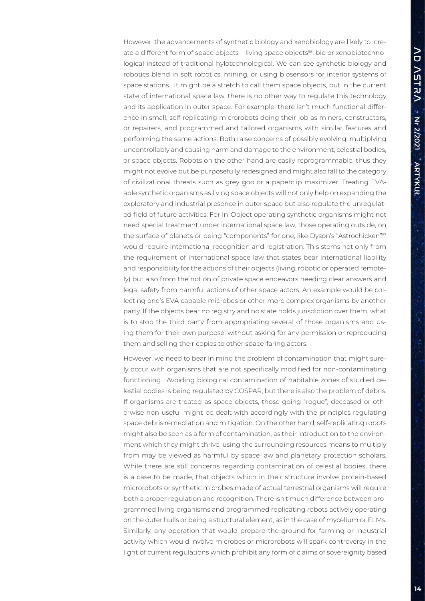However, the advancements of synthetic biology and xenobiology are likely to create a different form of space objects – living space objects<sup>56</sup>, bio or xenobiotechnological instead of traditional hylotechnological. We can see synthetic biology and robotics blend in soft robotics, mining, or using biosensors for interior systems of space stations. It might be a stretch to call them space objects, but in the current state of international space law, there is no other way to regulate this technology and its application in outer space. For example, there isn't much functional difference in small, self-replicating microrobots doing their job as miners, constructors, or repairers, and programmed and tailored organisms with similar features and performing the same actions. Both raise concerns of possibly evolving, multiplying uncontrollably and causing harm and damage to the environment, celestial bodies, or space objects. Robots on the other hand are easily reprogrammable, thus they might not evolve but be purposefully redesigned and might also fall to the category of civilizational threats such as grey goo or a paperclip maximizer. Treating EVAable synthetic organisms as living space objects will not only help on expanding the exploratory and industrial presence in outer space but also regulate the unregulated field of future activities. For In-Object operating synthetic organisms might not need special treatment under international space law, those operating outside, on the surface of planets or being "components" for one, like Dyson's "Astrochicken"<sup>57</sup> would require international recognition and registration. This stems not only from the requirement of international space law that states bear international liability and responsibility for the actions of their objects (living, robotic or operated remotely) but also from the notion of private space endeavors needing clear answers and legal safety from harmful actions of other space actors. An example would be collecting one's EVA capable microbes or other more complex organisms by another party. If the objects bear no registry and no state holds jurisdiction over them, what is to stop the third party from appropriating several of those organisms and using them for their own purpose, without asking for any permission or reproducing them and selling their copies to other space-faring actors.

However, we need to bear in mind the problem of contamination that might surely occur with organisms that are not specifically modified for non-contaminating functioning. Avoiding biological contamination of habitable zones of studied celestial bodies is being regulated by COSPAR, but there is also the problem of debris. If organisms are treated as space objects, those going "rogue", deceased or otherwise non-useful might be dealt with accordingly with the principles regulating space debris remediation and mitigation. On the other hand, self-replicating robots might also be seen as a form of contamination, as their introduction to the environment which they might thrive, using the surrounding resources means to multiply from may be viewed as harmful by space law and planetary protection scholars. While there are still concerns regarding contamination of celestial bodies, there is a case to be made, that objects which in their structure involve protein-based microrobots or synthetic microbes made of actual terrestrial organisms will require both a proper regulation and recognition. There isn't much difference between programmed living organisms and programmed replicating robots actively operating on the outer hulls or being a structural element, as in the case of mycelium or ELMs. Similarly, any operation that would prepare the ground for farming or industrial activity which would involve microbes or microrobots will spark controversy in the light of current regulations which prohibit any form of claims of sovereignity based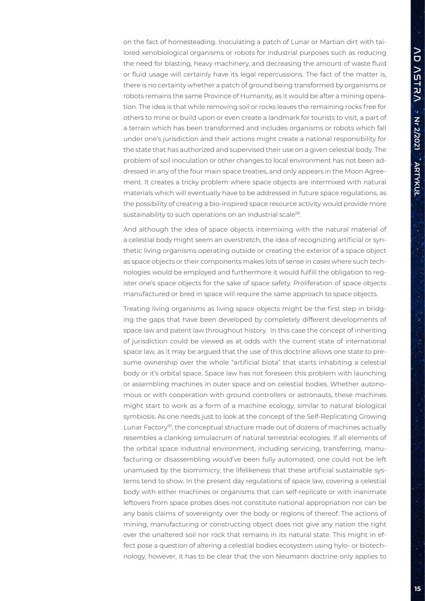on the fact of homesteading. Inoculating a patch of Lunar or Martian dirt with tailored xenobiological organisms or robots for industrial purposes such as reducing the need for blasting, heavy machinery, and decreasing the amount of waste fluid or fluid usage will certainly have its legal repercussions. The fact of the matter is, there is no certainty whether a patch of ground being transformed by organisms or robots remains the same Province of Humanity, as it would be after a mining operation. The idea is that while removing soil or rocks leaves the remaining rocks free for others to mine or build upon or even create a landmark for tourists to visit, a part of a terrain which has been transformed and includes organisms or robots which fall under one's jurisdiction and their actions might create a national responsibility for the state that has authorized and supervised their use on a given celestial body. The problem of soil inoculation or other changes to local environment has not been addressed in any of the four main space treaties, and only appears in the Moon Agreement. It creates a tricky problem where space objects are intermixed with natural materials which will eventually have to be addressed in future space regulations, as the possibility of creating a bio-inspired space resource activity would provide more sustainability to such operations on an industrial scale<sup>58</sup>.

And although the idea of space objects intermixing with the natural material of a celestial body might seem an overstretch, the idea of recognizing artificial or synthetic living organisms operating outside or creating the exterior of a space object as space objects or their components makes lots of sense in cases where such technologies would be employed and furthermore it would fulfill the obligation to register one's space objects for the sake of space safety. Proliferation of space objects manufactured or bred in space will require the same approach to space objects.

Treating living organisms as living space objects might be the first step in bridging the gaps that have been developed by completely different developments of space law and patent law throughout history. In this case the concept of inheriting of jurisdiction could be viewed as at odds with the current state of international space law, as it may be argued that the use of this doctrine allows one state to presume ownership over the whole "artificial biota" that starts inhabiting a celestial body or it's orbital space. Space law has not foreseen this problem with launching or assembling machines in outer space and on celestial bodies. Whether autonomous or with cooperation with ground controllers or astronauts, these machines might start to work as a form of a machine ecology, similar to natural biological symbiosis. As one needs just to look at the concept of the Self-Replicating Growing Lunar Factory<sup>59</sup>, the conceptual structure made out of dozens of machines actually resembles a clanking simulacrum of natural terrestrial ecologies. If all elements of the orbital space industrial environment, including servicing, transferring, manufacturing or disassembling would've been fully automated, one could not be left unamused by the biomimicry, the lifelikeness that these artificial sustainable systems tend to show. In the present day regulations of space law, covering a celestial body with either machines or organisms that can self-replicate or with inanimate leftovers from space probes does not constitute national appropriation nor can be any basis claims of sovereignty over the body or regions of thereof. The actions of mining, manufacturing or constructing object does not give any nation the right over the unaltered soil nor rock that remains in its natural state. This might in effect pose a question of altering a celestial bodies ecosystem using hylo- or biotechnology, however, it has to be clear that the von Neumann doctrine only applies to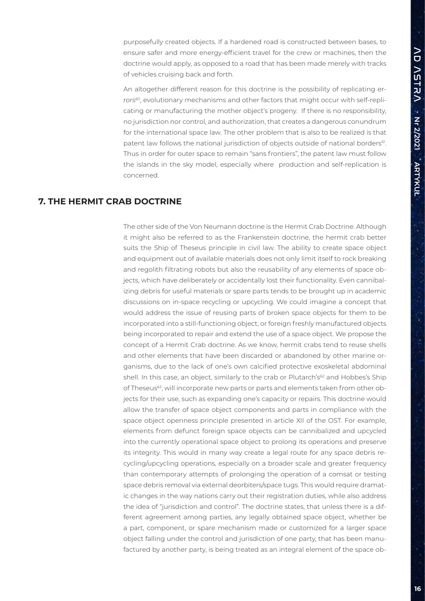purposefully created objects. If a hardened road is constructed between bases, to ensure safer and more energy-efficient travel for the crew or machines, then the doctrine would apply, as opposed to a road that has been made merely with tracks of vehicles cruising back and forth.

An altogether different reason for this doctrine is the possibility of replicating errors60, evolutionary mechanisms and other factors that might occur with self-replicating or manufacturing the mother object's progeny. If there is no responsibility, no jurisdiction nor control, and authorization, that creates a dangerous conundrum for the international space law. The other problem that is also to be realized is that patent law follows the national jurisdiction of objects outside of national borders<sup>61</sup>. Thus in order for outer space to remain "sans frontiers", the patent law must follow the islands in the sky model, especially where production and self-replication is concerned.

### **7. THE HERMIT CRAB DOCTRINE**

The other side of the Von Neumann doctrine is the Hermit Crab Doctrine. Although it might also be referred to as the Frankenstein doctrine, the hermit crab better suits the Ship of Theseus principle in civil law. The ability to create space object and equipment out of available materials does not only limit itself to rock breaking and regolith filtrating robots but also the reusability of any elements of space objects, which have deliberately or accidentally lost their functionality. Even cannibalizing debris for useful materials or spare parts tends to be brought up in academic discussions on in-space recycling or upcycling. We could imagine a concept that would address the issue of reusing parts of broken space objects for them to be incorporated into a still-functioning object, or foreign freshly manufactured objects being incorporated to repair and extend the use of a space object. We propose the concept of a Hermit Crab doctrine. As we know, hermit crabs tend to reuse shells and other elements that have been discarded or abandoned by other marine organisms, due to the lack of one's own calcified protective exoskeletal abdominal shell. In this case, an object, similarly to the crab or Plutarch's<sup>62</sup> and Hobbes's Ship of Theseus<sup>63</sup>, will incorporate new parts or parts and elements taken from other objects for their use, such as expanding one's capacity or repairs. This doctrine would allow the transfer of space object components and parts in compliance with the space object openness principle presented in article XII of the OST. For example, elements from defunct foreign space objects can be cannibalized and upcycled into the currently operational space object to prolong its operations and preserve its integrity. This would in many way create a legal route for any space debris recycling/upcycling operations, especially on a broader scale and greater frequency than contemporary attempts of prolonging the operation of a comsat or testing space debris removal via external deorbiters/space tugs. This would require dramatic changes in the way nations carry out their registration duties, while also address the idea of "jurisdiction and control". The doctrine states, that unless there is a different agreement among parties, any legally obtained space object, whether be a part, component, or spare mechanism made or customized for a larger space object falling under the control and jurisdiction of one party, that has been manufactured by another party, is being treated as an integral element of the space ob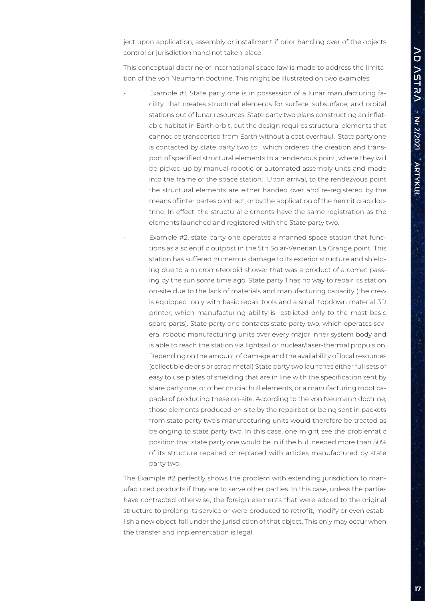ject upon application, assembly or installment if prior handing over of the objects control or jurisdiction hand not taken place.

This conceptual doctrine of international space law is made to address the limitation of the von Neumann doctrine. This might be illustrated on two examples:

- Example #1, State party one is in possession of a lunar manufacturing facility, that creates structural elements for surface, subsurface, and orbital stations out of lunar resources. State party two plans constructing an inflatable habitat in Earth orbit, but the design requires structural elements that cannot be transported from Earth without a cost overhaul. State party one is contacted by state party two to , which ordered the creation and transport of specified structural elements to a rendezvous point, where they will be picked up by manual-robotic or automated assembly units and made into the frame of the space station. Upon arrival, to the rendezvous point the structural elements are either handed over and re-registered by the means of inter partes contract, or by the application of the hermit crab doctrine. In effect, the structural elements have the same registration as the elements launched and registered with the State party two.
	- Example #2, state party one operates a manned space station that functions as a scientific outpost in the 5th Solar-Venerian La Grange point. This station has suffered numerous damage to its exterior structure and shielding due to a micrometeoroid shower that was a product of a comet passing by the sun some time ago. State party 1 has no way to repair its station on-site due to the lack of materials and manufacturing capacity (the crew is equipped only with basic repair tools and a small topdown material 3D printer, which manufacturing ability is restricted only to the most basic spare parts). State party one contacts state party two, which operates several robotic manufacturing units over every major inner system body and is able to reach the station via lightsail or nuclear/laser-thermal propulsion. Depending on the amount of damage and the availability of local resources (collectible debris or scrap metal) State party two launches either full sets of easy to use plates of shielding that are in line with the specification sent by stare party one, or other crucial hull elements, or a manufacturing robot capable of producing these on-site. According to the von Neumann doctrine, those elements produced on-site by the repairbot or being sent in packets from state party two's manufacturing units would therefore be treated as belonging to state party two. In this case, one might see the problematic position that state party one would be in if the hull needed more than 50% of its structure repaired or replaced with articles manufactured by state party two.

The Example #2 perfectly shows the problem with extending jurisdiction to manufactured products if they are to serve other parties. In this case, unless the parties have contracted otherwise, the foreign elements that were added to the original structure to prolong its service or were produced to retrofit, modify or even establish a new object fall under the jurisdiction of that object. This only may occur when the transfer and implementation is legal.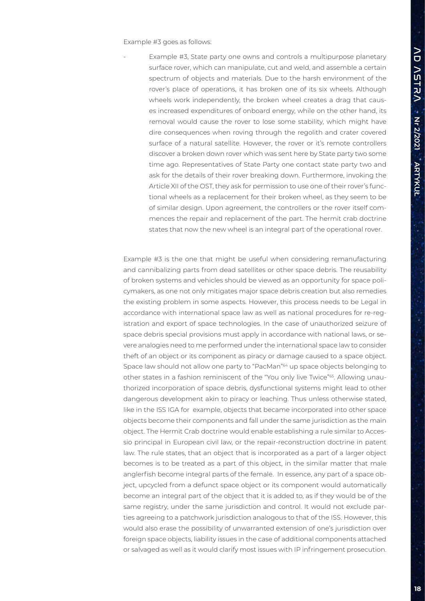Example #3 goes as follows:

Example #3, State party one owns and controls a multipurpose planetary surface rover, which can manipulate, cut and weld, and assemble a certain spectrum of objects and materials. Due to the harsh environment of the rover's place of operations, it has broken one of its six wheels. Although wheels work independently, the broken wheel creates a drag that causes increased expenditures of onboard energy, while on the other hand, its removal would cause the rover to lose some stability, which might have dire consequences when roving through the regolith and crater covered surface of a natural satellite. However, the rover or it's remote controllers discover a broken down rover which was sent here by State party two some time ago. Representatives of State Party one contact state party two and ask for the details of their rover breaking down. Furthermore, invoking the Article XII of the OST, they ask for permission to use one of their rover's functional wheels as a replacement for their broken wheel, as they seem to be of similar design. Upon agreement, the controllers or the rover itself commences the repair and replacement of the part. The hermit crab doctrine states that now the new wheel is an integral part of the operational rover.

Example #3 is the one that might be useful when considering remanufacturing and cannibalizing parts from dead satellites or other space debris. The reusability of broken systems and vehicles should be viewed as an opportunity for space policymakers, as one not only mitigates major space debris creation but also remedies the existing problem in some aspects. However, this process needs to be Legal in accordance with international space law as well as national procedures for re-registration and export of space technologies. In the case of unauthorized seizure of space debris special provisions must apply in accordance with national laws, or severe analogies need to me performed under the international space law to consider theft of an object or its component as piracy or damage caused to a space object. Space law should not allow one party to "PacMan"<sup>64</sup> up space objects belonging to other states in a fashion reminiscent of the "You only live Twice"<sup>65</sup>. Allowing unauthorized incorporation of space debris, dysfunctional systems might lead to other dangerous development akin to piracy or leaching. Thus unless otherwise stated, like in the ISS IGA for example, objects that became incorporated into other space objects become their components and fall under the same jurisdiction as the main object. The Hermit Crab doctrine would enable establishing a rule similar to Accessio principal in European civil law, or the repair-reconstruction doctrine in patent law. The rule states, that an object that is incorporated as a part of a larger object becomes is to be treated as a part of this object, in the similar matter that male anglerfish become integral parts of the female. In essence, any part of a space object, upcycled from a defunct space object or its component would automatically become an integral part of the object that it is added to, as if they would be of the same registry, under the same jurisdiction and control. It would not exclude parties agreeing to a patchwork jurisdiction analogous to that of the ISS. However, this would also erase the possibility of unwarranted extension of one's jurisdiction over foreign space objects, liability issues in the case of additional components attached or salvaged as well as it would clarify most issues with IP infringement prosecution.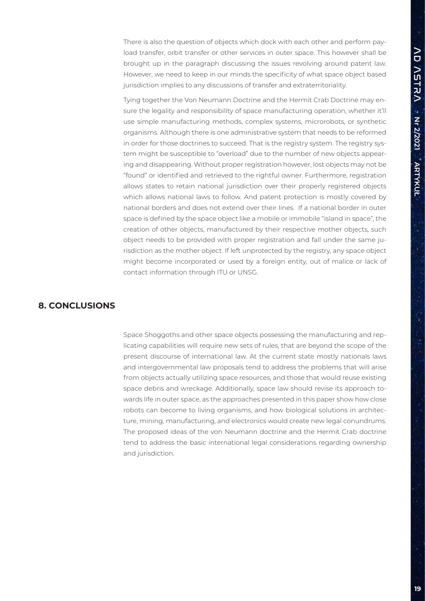There is also the question of objects which dock with each other and perform payload transfer, orbit transfer or other services in outer space. This however shall be brought up in the paragraph discussing the issues revolving around patent law. However, we need to keep in our minds the specificity of what space object based jurisdiction implies to any discussions of transfer and extraterritoriality.

Tying together the Von Neumann Doctrine and the Hermit Crab Doctrine may ensure the legality and responsibility of space manufacturing operation, whether it'll use simple manufacturing methods, complex systems, microrobots, or synthetic organisms. Although there is one administrative system that needs to be reformed in order for those doctrines to succeed. That is the registry system. The registry system might be susceptible to "overload" due to the number of new objects appearing and disappearing. Without proper registration however, lost objects may not be "found" or identified and retrieved to the rightful owner. Furthermore, registration allows states to retain national jurisdiction over their properly registered objects which allows national laws to follow. And patent protection is mostly covered by national borders and does not extend over their lines. If a national border in outer space is defined by the space object like a mobile or immobile "island in space", the creation of other objects, manufactured by their respective mother objects, such object needs to be provided with proper registration and fall under the same jurisdiction as the mother object. If left unprotected by the registry, any space object might become incorporated or used by a foreign entity, out of malice or lack of contact information through ITU or UNSG.

#### **8. CONCLUSIONS**

Space Shoggoths and other space objects possessing the manufacturing and replicating capabilities will require new sets of rules, that are beyond the scope of the present discourse of international law. At the current state mostly nationals laws and intergovernmental law proposals tend to address the problems that will arise from objects actually utilizing space resources, and those that would reuse existing space debris and wreckage. Additionally, space law should revise its approach towards life in outer space, as the approaches presented in this paper show how close robots can become to living organisms, and how biological solutions in architecture, mining, manufacturing, and electronics would create new legal conundrums. The proposed ideas of the von Neumann doctrine and the Hermit Crab doctrine tend to address the basic international legal considerations regarding ownership and jurisdiction.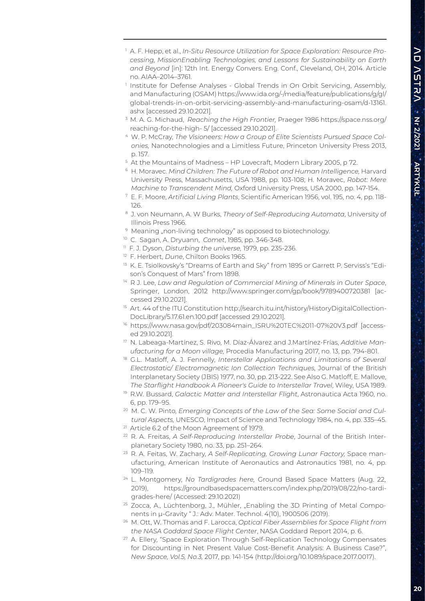- 1 A. F. Hepp, et al., *In-Situ Resource Utilization for Space Exploration: Resource Processing, MissionEnabling Technologies, and Lessons for Sustainability on Earth and Beyond* [in]: 12th Int. Energy Convers. Eng. Conf., Cleveland, OH, 2014. Article no. AIAA–2014–3761.
- 1 Institute for Defense Analyses Global Trends in On Orbit Servicing, Assembly, and Manufacturing (OSAM) https://www.ida.org/-/media/feature/publications/g/gl/ global-trends-in-on-orbit-servicing-assembly-and-manufacturing-osam/d-13161. ashx [accessed 29.10.2021].
- 3 M. A. G. Michaud, *Reaching the High Frontier,* Praeger 1986 https://space.nss.org/ reaching-for-the-high- 5/ [accessed 29.10.2021].
- 4 W. P. McCray, *The Visioneers: How a Group of Elite Scientists Pursued Space Colonies,* Nanotechnologies and a Limitless Future, Princeton University Press 2013, p. 157.
- 5 At the Mountains of Madness HP Lovecraft, Modern Library 2005, p 72.
- 6 H. Moravec. *Mind Children: The Future of Robot and Human Intelligence,* Harvard University Press, Massachusetts, USA 1988, pp. 103-108; H. Moravec, *Robot: Mere Machine to Transcendent Mind,* Oxford University Press, USA 2000, pp. 147-154.
- 7 E. F. Moore, *Artificial Living Plants*, Scientific American 1956, vol. 195, no. 4, pp. 118- 126.
- 8 J. von Neumann, A. W Burks, *Theory of Self-Reproducing Automata*, University of Illinois Press 1966.
- <sup>9</sup> Meaning "non-living technology" as opposed to biotechnology.
- 10 C. Sagan, A. Dryuann, *Comet*, 1985, pp. 346-348.
- 11 F. J. Dyson, *Disturbing the universe,* 1979, pp. 235-236.
- 12 F. Herbert, *Dune*, Chilton Books 1965.
- <sup>13</sup> K. E. Tsiolkovsky's "Dreams of Earth and Sky" from 1895 or Garrett P. Serviss's "Edison's Conquest of Mars" from 1898.
- 14 R J. Lee, *Law and Regulation of Commercial Mining of Minerals in Outer Space*, Springer, London, 2012 http://www.springer.com/gp/book/9789400720381 [accessed 29.10.2021].
- <sup>15</sup> Art. 44 of the ITU Constitution http://search.itu.int/history/HistoryDigitalCollection-DocLibrary/5.17.61.en.100.pdf [accessed 29.10.2021].
- <sup>16</sup> https://www.nasa.gov/pdf/203084main\_ISRU%20TEC%2011-07%20V3.pdf [accessed 29.10.2021].
- 17 N. Labeaga-Martínez, S. Rivo, M. Díaz-Álvarez and J.Martínez-Frías, *Additive Manufacturing for a Moon village,* Procedia Manufacturing 2017, no. 13, pp. 794-801.
- <sup>18</sup> G.L. Matloff, A. J. Fennelly, Interstellar Applications and Limitations of Several *Electrostatic/ Electromagnetic Ion Collection Techniques,* Journal of the British Interplanetary Society (JBIS) 1977, no. 30, pp. 213-222. See Also G. Matloff, E. Mallove, *The Starflight Handbook A Pioneer's Guide to Interstellar Travel*, Wiley, USA 1989.
- 19 R.W. Bussard, *Galactic Matter and Interstellar Flight*, Astronautica Acta 1960, no. 6, pp. 179–95.
- <sup>20</sup> M. C. W. Pinto, *Emerging Concepts of the Law of the Sea: Some Social and Cultural Aspects,* UNESCO, Impact of Science and Technology 1984, no. 4, pp. 335–45.
- <sup>21</sup> Article 6.2 of the Moon Agreement of 1979.
- 22 R. A. Freitas, *A Self-Reproducing Interstellar Probe*, Journal of the British Interplanetary Society 1980, no. 33, pp. 251–264.
- 23 R. A. Feitas, W. Zachary, *A Self-Replicating, Growing Lunar Factory,* Space manufacturing, American Institute of Aeronautics and Astronautics 1981, no. 4, pp. 109–119.
- 24 L. Montgomery, *No Tardigrades here,* Ground Based Space Matters (Aug. 22, 2019), https://groundbasedspacematters.com/index.php/2019/08/22/no-tardigrades-here/ (Accessed: 29.10.2021)
- <sup>25</sup> Zocca, A., Lüchtenborg, J., Mühler, "Enabling the 3D Printing of Metal Components in µ-Gravity " J.: Adv. Mater. Technol. 4(10), 1900506 (2019).
- 26 M. Ott, W. Thomas and F. Larocca, *Optical Fiber Assemblies for Space Flight from the NASA Goddard Space Flight Center*, NASA Goddard Report 2014, p. 6.
- <sup>27</sup> A. Ellery, "Space Exploration Through Self-Replication Technology Compensates for Discounting in Net Present Value Cost-Benefit Analysis: A Business Case?", *New Space, Vol.5, No.3,* 2017, pp. 141-154 (http://doi.org/10.1089/space.2017.0017).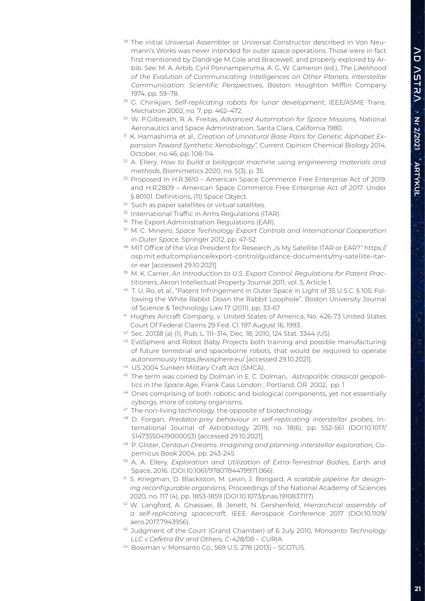- <sup>28</sup> The initial Universal Assembler or Universal Constructor described in Von Neumann's Works was never intended for outer space operations. Those were in fact first mentioned by Dandrige M Cole and Bracewell, and properly explored by Arbib. See: M. A. Arbib, Cyril Ponnamperuma, A. G. W. Cameron (ed.), *The Likelihood of the Evolution of Communicating Intelligences on Other Planets. Interstellar Communication: Scientific Perspectives*, Boston: Houghton Mifflin Company 1974, pp. 59–78.
- 29 G. Chirikjian, *Self-replicating robots for lunar development*, IEEE/ASME Trans. Mechatron 2002, no. 7, pp. 462–472.
- 30 W. P.Gilbreath, R. A. Freitas, *Advanced Automation for Space Missions,* National Aeronautics and Space Administration, Santa Clara, California 1980.
- 31 K. Hamashima et al., *Creation of Unnatural Base Pairs for Genetic Alphabet Expansion Toward Synthetic Xenobiology",* Current Opinion Chemical Biology 2014, October, no 46, pp. 108-114.
- 32 A. Ellery, *How to build a biological machine using engineering materials and methods*, Biomimetics 2020, no. 5(3), p. 35.
- 33 Proposed In H.R.3610 American Space Commerce Free Enterprise Act of 2019. and H.R.2809 – American Space Commerce Free Enterprise Act of 2017. Under § 80101. Definitions, (11) Space Object.
- <sup>34</sup> Such as paper satellites or virtual satellites.
- <sup>35</sup> International Traffic in Arms Regulations (ITAR).
- <sup>36</sup> The Export Administration Regulations (EAR).
- 37 M. C. Mineiro, *Space Technology Export Controls and International Cooperation in Outer Space,* Springer 2012, pp. 47-52.
- 38 MIT Office of the Vice President for Research "Is My Satellite ITAR or EAR?" https:// osp.mit.edu/compliance/export-control/guidance-documents/my-satellite-itaror-ear [accessed 29.10.2021].
- 39 M. K. Carrier, *An Introduction to U.S. Export Control: Regulations for Patent Practitioners*, Akron Intellectual Property Journal 2011, vol. 5, Article 1.
- 40 T. U. Ro, et al., "Patent Infringement in Outer Space in Light of 35 U.S.C. § 105: Following the White Rabbit Down the Rabbit Loophole", Boston University Journal of Science & Technology Law 17 (2011), pp. 33-67
- 41 Hughes Aircraft Company, v. United States of America, No. 426-73 United States Court Of Federal Claims 29 Fed. Cl. 197 August 16, 1993.
- 42 Sec. 20138 (a) (1), Pub. L. 111–314, Dec. 18, 2010, 124 Stat. 3344 (US).
- 43 EvoSphere and Robot Baby Projects both training and possible manufacturing of future terrestrial and spaceborne robots, that would be required to operate autonomously https://evosphere.eu/ [accessed 29.10.2021].
- 44 US 2004 Sunken Military Craft Act (SMCA).
- 45 The term was coined by Dolman in E. C. Dolman,. *Astropolitik: classical geopolitics in the Space Age*, Frank Cass London ; Portland, OR 2002, pp. 1
- 46 Ones comprising of both robotic and biological components, yet not essentially cyborgs, more of colony organisms.
- 47 The non-living technology, the opposite of biotechnology.
- 48 D. Forgan, *Predator-prey behaviour in self-replicating interstellar probes*, International Journal of Astrobiology 2019, no. 18(6), pp. 552-561 (DOI:10.1017/ S1473550419000053) [accessed 29.10.2021].
- 49 P. Glister, *Centauri Dreams. Imagining and planning interstellar exploration,* Copernicus Book 2004, pp. 243-245.
- 50 A. A. Ellery, *Exploration and Utilization of Extra-Terrestrial Bodies*, Earth and Space, 2016. (DOI:10.1061/9780784479971.066).
- 51 S. Kriegman, D. Blackiston, M. Levin, J. Bongard, *A scalable pipeline for designing reconfigurable organisms,* Proceedings of the National Academy of Sciences 2020*,* no. 117 (4), pp. 1853-1859 (DOI:10.1073/pnas.1910837117).
- 52 W. Langford, A. Ghassaei, B. Jenett, N. Gershenfeld, *Hierarchical assembly of a self-replicating spacecraft,* IEEE Aerospace Conference 2017 (DOI:10.1109/ aero.2017.7943956).
- 53 Judgment of the Court (Grand Chamber) of 6 July 2010, *Monsanto Technology LLC v Cefetra BV and Others, C-428/08* - CURIA.
- 54 Bowman v. Monsanto Co., 569 U.S. 278 (2013) SCOTUS.